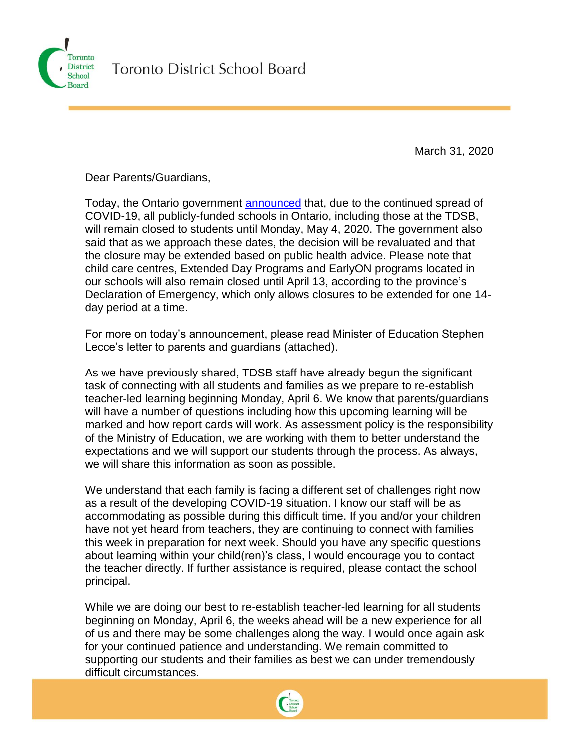

March 31, 2020

Dear Parents/Guardians,

Today, the Ontario government [announced](https://news.ontario.ca/opo/en/2020/03/ontario-extends-school-and-child-care-closures-to-fight-spread-of-covid-19.html) that, due to the continued spread of COVID-19, all publicly-funded schools in Ontario, including those at the TDSB, will remain closed to students until Monday, May 4, 2020. The government also said that as we approach these dates, the decision will be revaluated and that the closure may be extended based on public health advice. Please note that child care centres, Extended Day Programs and EarlyON programs located in our schools will also remain closed until April 13, according to the province's Declaration of Emergency, which only allows closures to be extended for one 14 day period at a time.

For more on today's announcement, please read Minister of Education Stephen Lecce's letter to parents and guardians (attached).

As we have previously shared, TDSB staff have already begun the significant task of connecting with all students and families as we prepare to re-establish teacher-led learning beginning Monday, April 6. We know that parents/guardians will have a number of questions including how this upcoming learning will be marked and how report cards will work. As assessment policy is the responsibility of the Ministry of Education, we are working with them to better understand the expectations and we will support our students through the process. As always, we will share this information as soon as possible.

We understand that each family is facing a different set of challenges right now as a result of the developing COVID-19 situation. I know our staff will be as accommodating as possible during this difficult time. If you and/or your children have not yet heard from teachers, they are continuing to connect with families this week in preparation for next week. Should you have any specific questions about learning within your child(ren)'s class, I would encourage you to contact the teacher directly. If further assistance is required, please contact the school principal.

While we are doing our best to re-establish teacher-led learning for all students beginning on Monday, April 6, the weeks ahead will be a new experience for all of us and there may be some challenges along the way. I would once again ask for your continued patience and understanding. We remain committed to supporting our students and their families as best we can under tremendously difficult circumstances.